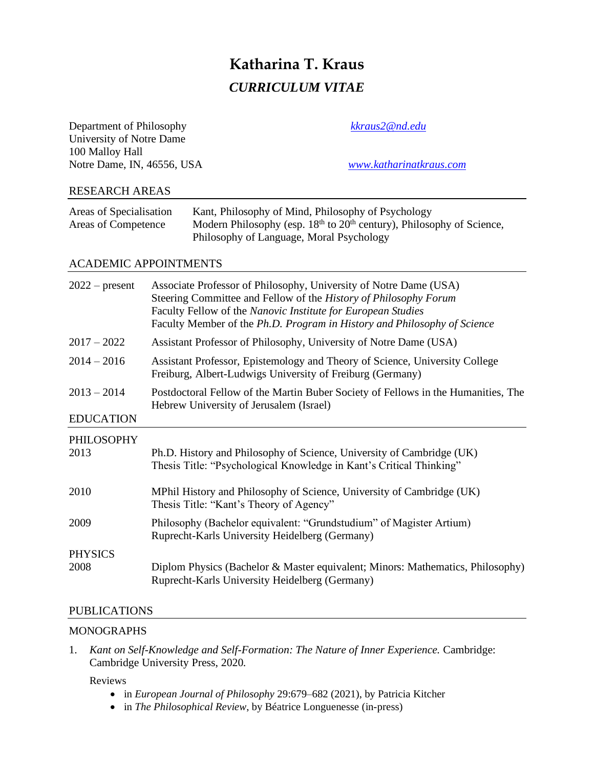# **Katharina T. Kraus** *CURRICULUM VITAE*

| Department of Philosophy<br>University of Notre Dame<br>100 Malloy Hall<br>Notre Dame, IN, 46556, USA |                                                                                                                                                                                                                                                                                   | kkraus2@nd.edu<br>www.katharinatkraus.com                                                                                                           |
|-------------------------------------------------------------------------------------------------------|-----------------------------------------------------------------------------------------------------------------------------------------------------------------------------------------------------------------------------------------------------------------------------------|-----------------------------------------------------------------------------------------------------------------------------------------------------|
| <b>RESEARCH AREAS</b>                                                                                 |                                                                                                                                                                                                                                                                                   |                                                                                                                                                     |
| Areas of Specialisation<br>Areas of Competence                                                        | Philosophy of Language, Moral Psychology                                                                                                                                                                                                                                          | Kant, Philosophy of Mind, Philosophy of Psychology<br>Modern Philosophy (esp. 18 <sup>th</sup> to 20 <sup>th</sup> century), Philosophy of Science, |
| <b>ACADEMIC APPOINTMENTS</b>                                                                          |                                                                                                                                                                                                                                                                                   |                                                                                                                                                     |
| $2022$ – present                                                                                      | Associate Professor of Philosophy, University of Notre Dame (USA)<br>Steering Committee and Fellow of the History of Philosophy Forum<br>Faculty Fellow of the Nanovic Institute for European Studies<br>Faculty Member of the Ph.D. Program in History and Philosophy of Science |                                                                                                                                                     |
| $2017 - 2022$                                                                                         | Assistant Professor of Philosophy, University of Notre Dame (USA)                                                                                                                                                                                                                 |                                                                                                                                                     |
| $2014 - 2016$                                                                                         | Assistant Professor, Epistemology and Theory of Science, University College<br>Freiburg, Albert-Ludwigs University of Freiburg (Germany)                                                                                                                                          |                                                                                                                                                     |
| $2013 - 2014$                                                                                         | Postdoctoral Fellow of the Martin Buber Society of Fellows in the Humanities, The<br>Hebrew University of Jerusalem (Israel)                                                                                                                                                      |                                                                                                                                                     |
| <b>EDUCATION</b>                                                                                      |                                                                                                                                                                                                                                                                                   |                                                                                                                                                     |
| PHILOSOPHY<br>2013                                                                                    | Ph.D. History and Philosophy of Science, University of Cambridge (UK)<br>Thesis Title: "Psychological Knowledge in Kant's Critical Thinking"                                                                                                                                      |                                                                                                                                                     |
| 2010                                                                                                  | MPhil History and Philosophy of Science, University of Cambridge (UK)<br>Thesis Title: "Kant's Theory of Agency"                                                                                                                                                                  |                                                                                                                                                     |
| 2009                                                                                                  | Philosophy (Bachelor equivalent: "Grundstudium" of Magister Artium)<br>Ruprecht-Karls University Heidelberg (Germany)                                                                                                                                                             |                                                                                                                                                     |
| <b>PHYSICS</b><br>2008                                                                                | Diplom Physics (Bachelor & Master equivalent; Minors: Mathematics, Philosophy)<br>Ruprecht-Karls University Heidelberg (Germany)                                                                                                                                                  |                                                                                                                                                     |

# PUBLICATIONS

# **MONOGRAPHS**

1. *Kant on Self-Knowledge and Self-Formation: The Nature of Inner Experience.* Cambridge: Cambridge University Press, 2020.

# Reviews

- in *European Journal of Philosophy* 29:679–682 (2021), by Patricia Kitcher
- in *The Philosophical Review*, by Béatrice Longuenesse (in-press)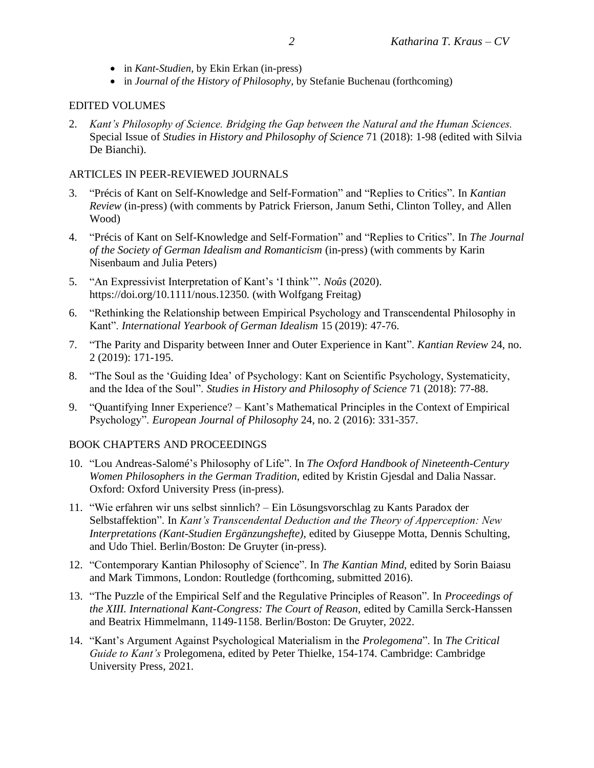- in *Kant-Studien*, by Ekin Erkan (in-press)
- in *Journal of the History of Philosophy*, by Stefanie Buchenau (forthcoming)

# EDITED VOLUMES

2. *Kant's Philosophy of Science. Bridging the Gap between the Natural and the Human Sciences.*  Special Issue of *Studies in History and Philosophy of Science* 71 (2018): 1-98 (edited with Silvia De Bianchi).

## ARTICLES IN PEER-REVIEWED JOURNALS

- 3. "Précis of Kant on Self-Knowledge and Self-Formation" and "Replies to Critics". In *Kantian Review* (in-press) (with comments by Patrick Frierson, Janum Sethi, Clinton Tolley, and Allen Wood)
- 4. "Précis of Kant on Self-Knowledge and Self-Formation" and "Replies to Critics". In *The Journal of the Society of German Idealism and Romanticism* (in-press) (with comments by Karin Nisenbaum and Julia Peters)
- 5. "An Expressivist Interpretation of Kant's 'I think'". *Noûs* (2020). [https://doi.org/10.1111/nous.12350.](https://doi.org/10.1111/nous.12350) (with Wolfgang Freitag)
- 6. "Rethinking the Relationship between Empirical Psychology and Transcendental Philosophy in Kant". *International Yearbook of German Idealism* 15 (2019): 47-76.
- 7. "The Parity and Disparity between Inner and Outer Experience in Kant". *Kantian Review* 24, no. 2 (2019): 171-195.
- 8. "The Soul as the 'Guiding Idea' of Psychology: Kant on Scientific Psychology, Systematicity, and the Idea of the Soul". *Studies in History and Philosophy of Science* 71 (2018): 77-88.
- 9. "Quantifying Inner Experience? Kant's Mathematical Principles in the Context of Empirical Psychology". *European Journal of Philosophy* 24, no. 2 (2016): 331-357.

# BOOK CHAPTERS AND PROCEEDINGS

- 10. "Lou Andreas-Salomé's Philosophy of Life". In *The Oxford Handbook of Nineteenth-Century Women Philosophers in the German Tradition*, edited by Kristin Gjesdal and Dalia Nassar. Oxford: Oxford University Press (in-press).
- 11. "Wie erfahren wir uns selbst sinnlich? Ein Lösungsvorschlag zu Kants Paradox der Selbstaffektion". In *Kant's Transcendental Deduction and the Theory of Apperception: New Interpretations (Kant-Studien Ergänzungshefte)*, edited by Giuseppe Motta, Dennis Schulting, and Udo Thiel. Berlin/Boston: De Gruyter (in-press).
- 12. "Contemporary Kantian Philosophy of Science". In *The Kantian Mind*, edited by Sorin Baiasu and Mark Timmons, London: Routledge (forthcoming, submitted 2016).
- 13. "The Puzzle of the Empirical Self and the Regulative Principles of Reason". In *Proceedings of the XIII. International Kant-Congress: The Court of Reason*, edited by Camilla Serck-Hanssen and Beatrix Himmelmann, 1149-1158. Berlin/Boston: De Gruyter, 2022.
- 14. "Kant's Argument Against Psychological Materialism in the *Prolegomena*". In *The Critical Guide to Kant's* Prolegomena, edited by Peter Thielke, 154-174. Cambridge: Cambridge University Press, 2021.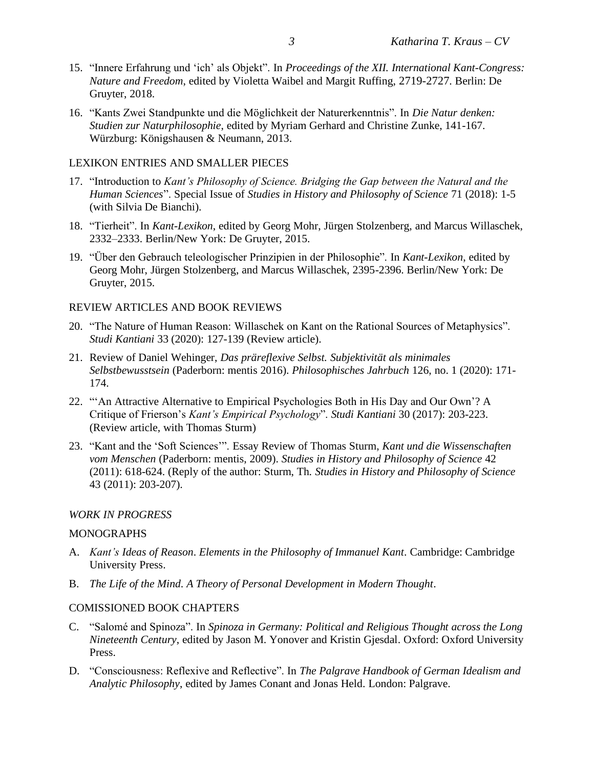- 15. "Innere Erfahrung und 'ich' als Objekt". In *Proceedings of the XII. International Kant-Congress: Nature and Freedom*, edited by Violetta Waibel and Margit Ruffing, 2719-2727. Berlin: De Gruyter, 2018.
- 16. "Kants Zwei Standpunkte und die Möglichkeit der Naturerkenntnis". In *Die Natur denken: Studien zur Naturphilosophie*, edited by Myriam Gerhard and Christine Zunke, 141-167. Würzburg: Königshausen & Neumann, 2013.

#### LEXIKON ENTRIES AND SMALLER PIECES

- 17. "Introduction to *Kant's Philosophy of Science. Bridging the Gap between the Natural and the Human Sciences*". Special Issue of *Studies in History and Philosophy of Science* 71 (2018): 1-5 (with Silvia De Bianchi).
- 18. "Tierheit". In *Kant-Lexikon*, edited by Georg Mohr, Jürgen Stolzenberg, and Marcus Willaschek, 2332–2333. Berlin/New York: De Gruyter, 2015.
- 19. "Über den Gebrauch teleologischer Prinzipien in der Philosophie". In *Kant-Lexikon*, edited by Georg Mohr, Jürgen Stolzenberg, and Marcus Willaschek, 2395-2396. Berlin/New York: De Gruyter, 2015.

## REVIEW ARTICLES AND BOOK REVIEWS

- 20. "The Nature of Human Reason: Willaschek on Kant on the Rational Sources of Metaphysics". *Studi Kantiani* 33 (2020): 127-139 (Review article).
- 21. Review of Daniel Wehinger, *Das präreflexive Selbst. Subjektivität als minimales Selbstbewusstsein* (Paderborn: mentis 2016). *Philosophisches Jahrbuch* 126, no. 1 (2020): 171- 174.
- 22. "'An Attractive Alternative to Empirical Psychologies Both in His Day and Our Own'? A Critique of Frierson's *Kant's Empirical Psychology*". *Studi Kantiani* 30 (2017): 203-223. (Review article, with Thomas Sturm)
- 23. "Kant and the 'Soft Sciences'". Essay Review of Thomas Sturm, *Kant und die Wissenschaften vom Menschen* (Paderborn: mentis, 2009). *Studies in History and Philosophy of Science* 42 (2011): 618-624. (Reply of the author: Sturm, Th. *Studies in History and Philosophy of Science*  43 (2011): 203-207).

#### *WORK IN PROGRESS*

#### MONOGRAPHS

- A. *Kant's Ideas of Reason*. *Elements in the Philosophy of Immanuel Kant*. Cambridge: Cambridge University Press.
- B. *The Life of the Mind*. *A Theory of Personal Development in Modern Thought*.

# COMISSIONED BOOK CHAPTERS

- C. "Salomé and Spinoza". In *Spinoza in Germany: Political and Religious Thought across the Long Nineteenth Century*, edited by Jason M. Yonover and Kristin Gjesdal. Oxford: Oxford University Press.
- D. "Consciousness: Reflexive and Reflective". In *The Palgrave Handbook of German Idealism and Analytic Philosophy*, edited by James Conant and Jonas Held. London: Palgrave.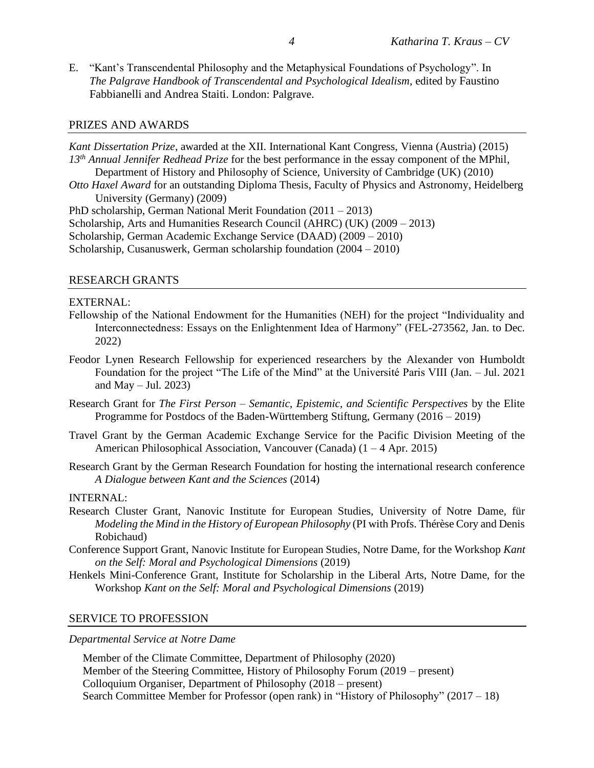E. "Kant's Transcendental Philosophy and the Metaphysical Foundations of Psychology". In *The Palgrave Handbook of Transcendental and Psychological Idealism*, edited by Faustino Fabbianelli and Andrea Staiti. London: Palgrave.

#### PRIZES AND AWARDS

*Kant Dissertation Prize*, awarded at the XII. International Kant Congress, Vienna (Austria) (2015) *13th Annual Jennifer Redhead Prize* for the best performance in the essay component of the MPhil, Department of History and Philosophy of Science, University of Cambridge (UK) (2010) *Otto Haxel Award* for an outstanding Diploma Thesis, Faculty of Physics and Astronomy, Heidelberg University (Germany) (2009) PhD scholarship, German National Merit Foundation (2011 – 2013) Scholarship, Arts and Humanities Research Council (AHRC) (UK) (2009 – 2013)

Scholarship, German Academic Exchange Service (DAAD) (2009 – 2010)

Scholarship, Cusanuswerk, German scholarship foundation (2004 – 2010)

#### RESEARCH GRANTS

#### EXTERNAL:

- Fellowship of the National Endowment for the Humanities (NEH) for the project "Individuality and Interconnectedness: Essays on the Enlightenment Idea of Harmony" (FEL-273562, Jan. to Dec. 2022)
- Feodor Lynen Research Fellowship for experienced researchers by the Alexander von Humboldt Foundation for the project "The Life of the Mind" at the Université Paris VIII (Jan. – Jul. 2021 and May  $-$  Jul. 2023)
- Research Grant for *The First Person – Semantic, Epistemic, and Scientific Perspectives* by the Elite Programme for Postdocs of the Baden-Württemberg Stiftung, Germany (2016 – 2019)
- Travel Grant by the German Academic Exchange Service for the Pacific Division Meeting of the American Philosophical Association, Vancouver (Canada) (1 – 4 Apr. 2015)
- Research Grant by the German Research Foundation for hosting the international research conference *A Dialogue between Kant and the Sciences* (2014)

# INTERNAL:

- Research Cluster Grant, Nanovic Institute for European Studies, University of Notre Dame, für *Modeling the Mind in the History of European Philosophy* (PI with Profs. Thérèse Cory and Denis Robichaud)
- Conference Support Grant, Nanovic Institute for European Studies, Notre Dame, for the Workshop *Kant on the Self: Moral and Psychological Dimensions* (2019)
- Henkels Mini-Conference Grant, Institute for Scholarship in the Liberal Arts, Notre Dame, for the Workshop *Kant on the Self: Moral and Psychological Dimensions* (2019)

#### SERVICE TO PROFESSION

*Departmental Service at Notre Dame*

Member of the Climate Committee, Department of Philosophy (2020) Member of the Steering Committee, History of Philosophy Forum (2019 – present) Colloquium Organiser, Department of Philosophy (2018 – present) Search Committee Member for Professor (open rank) in "History of Philosophy" (2017 – 18)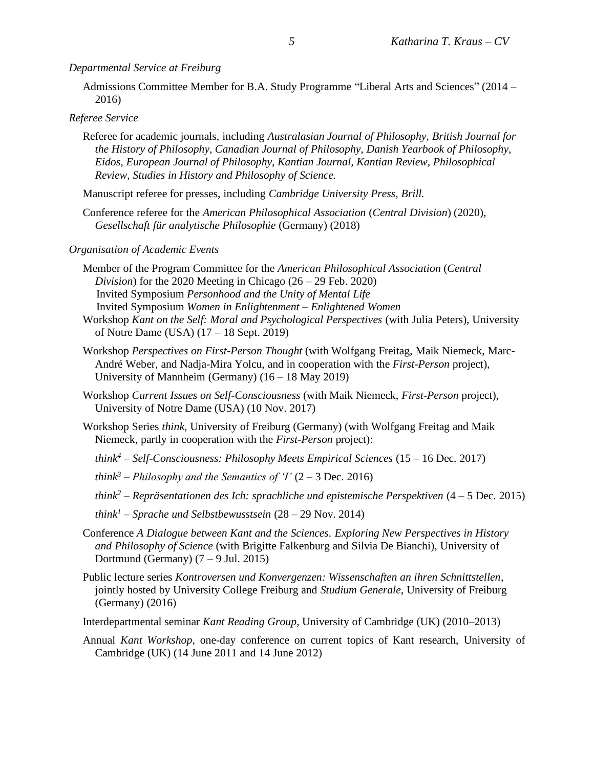*Departmental Service at Freiburg*

Admissions Committee Member for B.A. Study Programme "Liberal Arts and Sciences" (2014 – 2016)

### *Referee Service*

Referee for academic journals, including *Australasian Journal of Philosophy, British Journal for the History of Philosophy, Canadian Journal of Philosophy, Danish Yearbook of Philosophy, Eidos, European Journal of Philosophy, Kantian Journal, Kantian Review, Philosophical Review, Studies in History and Philosophy of Science.* 

Manuscript referee for presses, including *Cambridge University Press, Brill.*

Conference referee for the *American Philosophical Association* (*Central Division*) (2020), *Gesellschaft für analytische Philosophie* (Germany) (2018)

#### *Organisation of Academic Events*

- Member of the Program Committee for the *American Philosophical Association* (*Central Division*) for the 2020 Meeting in Chicago (26 – 29 Feb. 2020) Invited Symposium *Personhood and the Unity of Mental Life* Invited Symposium *Women in Enlightenment – Enlightened Women*
- Workshop *Kant on the Self: Moral and Psychological Perspectives* (with Julia Peters), University of Notre Dame (USA) (17 – 18 Sept. 2019)
- Workshop *Perspectives on First-Person Thought* (with Wolfgang Freitag, Maik Niemeck, Marc-André Weber, and Nadja-Mira Yolcu, and in cooperation with the *First-Person* project), University of Mannheim (Germany) (16 – 18 May 2019)
- Workshop *Current Issues on Self-Consciousness* (with Maik Niemeck, *First-Person* project), University of Notre Dame (USA) (10 Nov. 2017)
- Workshop Series *think*, University of Freiburg (Germany) (with Wolfgang Freitag and Maik Niemeck, partly in cooperation with the *First-Person* project):
	- *think<sup>4</sup> – Self-Consciousness: Philosophy Meets Empirical Sciences* (15 16 Dec. 2017)
	- *think*<sup>3</sup> *Philosophy and the Semantics of 'I'*  $(2 3$  Dec. 2016)
	- *think<sup>2</sup> – Repräsentationen des Ich: sprachliche und epistemische Perspektiven* (4 5 Dec. 2015)
	- *think<sup>1</sup> – Sprache und Selbstbewusstsein* (28 29 Nov. 2014)
- Conference *A Dialogue between Kant and the Sciences. Exploring New Perspectives in History and Philosophy of Science* (with Brigitte Falkenburg and Silvia De Bianchi), University of Dortmund (Germany)  $(7 - 9$  Jul. 2015)
- Public lecture series *Kontroversen und Konvergenzen: Wissenschaften an ihren Schnittstellen*, jointly hosted by University College Freiburg and *Studium Generale*, University of Freiburg (Germany) (2016)

Interdepartmental seminar *Kant Reading Group*, University of Cambridge (UK) (2010–2013)

Annual *Kant Workshop*, one-day conference on current topics of Kant research, University of Cambridge (UK) (14 June 2011 and 14 June 2012)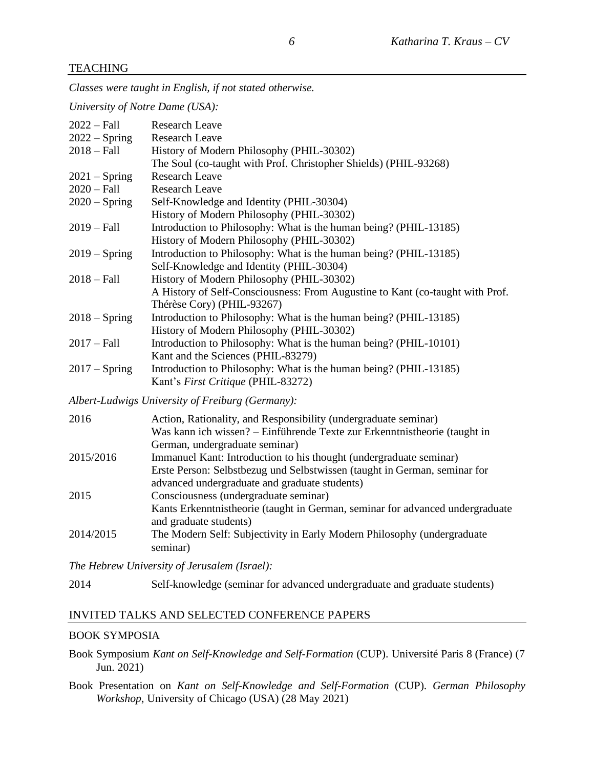#### TEACHING

*Classes were taught in English, if not stated otherwise.*

*University of Notre Dame (USA):*

| $2022 - Fall$   | <b>Research Leave</b>                                                         |  |
|-----------------|-------------------------------------------------------------------------------|--|
| $2022 - Spring$ | <b>Research Leave</b>                                                         |  |
| $2018 - Fall$   | History of Modern Philosophy (PHIL-30302)                                     |  |
|                 | The Soul (co-taught with Prof. Christopher Shields) (PHIL-93268)              |  |
| $2021 -$ Spring | <b>Research Leave</b>                                                         |  |
| $2020 - Fall$   | <b>Research Leave</b>                                                         |  |
| $2020 - Spring$ | Self-Knowledge and Identity (PHIL-30304)                                      |  |
|                 | History of Modern Philosophy (PHIL-30302)                                     |  |
| $2019 - Fall$   | Introduction to Philosophy: What is the human being? (PHIL-13185)             |  |
|                 | History of Modern Philosophy (PHIL-30302)                                     |  |
| $2019 - Spring$ | Introduction to Philosophy: What is the human being? (PHIL-13185)             |  |
|                 | Self-Knowledge and Identity (PHIL-30304)                                      |  |
| $2018 - Fall$   | History of Modern Philosophy (PHIL-30302)                                     |  |
|                 | A History of Self-Consciousness: From Augustine to Kant (co-taught with Prof. |  |
|                 | Thérèse Cory) (PHIL-93267)                                                    |  |
| $2018 -$ Spring | Introduction to Philosophy: What is the human being? (PHIL-13185)             |  |
|                 | History of Modern Philosophy (PHIL-30302)                                     |  |
| $2017 - Fall$   | Introduction to Philosophy: What is the human being? (PHIL-10101)             |  |
|                 | Kant and the Sciences (PHIL-83279)                                            |  |
| $2017 - Spring$ | Introduction to Philosophy: What is the human being? (PHIL-13185)             |  |
|                 | Kant's First Critique (PHIL-83272)                                            |  |
|                 | Albert-Ludwigs University of Freiburg (Germany):                              |  |
| 2016            | Action, Rationality, and Responsibility (undergraduate seminar)               |  |
|                 | Was kann ich wissen? - Einführende Texte zur Erkenntnistheorie (taught in     |  |
|                 | German, undergraduate seminar)                                                |  |
| 2015/2016       | Immanuel Kant: Introduction to his thought (undergraduate seminar)            |  |
|                 | Erste Person: Selbstbezug und Selbstwissen (taught in German, seminar for     |  |
|                 | advanced undergraduate and graduate students)                                 |  |
| 2015            | Consciousness (undergraduate seminar)                                         |  |
|                 | Kants Erkenntnistheorie (taught in German, seminar for advanced undergraduate |  |
|                 | and graduate students)                                                        |  |
| 2014/2015       | The Modern Self: Subjectivity in Early Modern Philosophy (undergraduate       |  |
|                 | seminar)                                                                      |  |
|                 | The Hebrew University of Jerusalem (Israel):                                  |  |

2014 Self-knowledge (seminar for advanced undergraduate and graduate students)

#### INVITED TALKS AND SELECTED CONFERENCE PAPERS

#### BOOK SYMPOSIA

- Book Symposium *Kant on Self-Knowledge and Self-Formation* (CUP). Université Paris 8 (France) (7 Jun. 2021)
- Book Presentation on *Kant on Self-Knowledge and Self-Formation* (CUP). *German Philosophy Workshop*, University of Chicago (USA) (28 May 2021)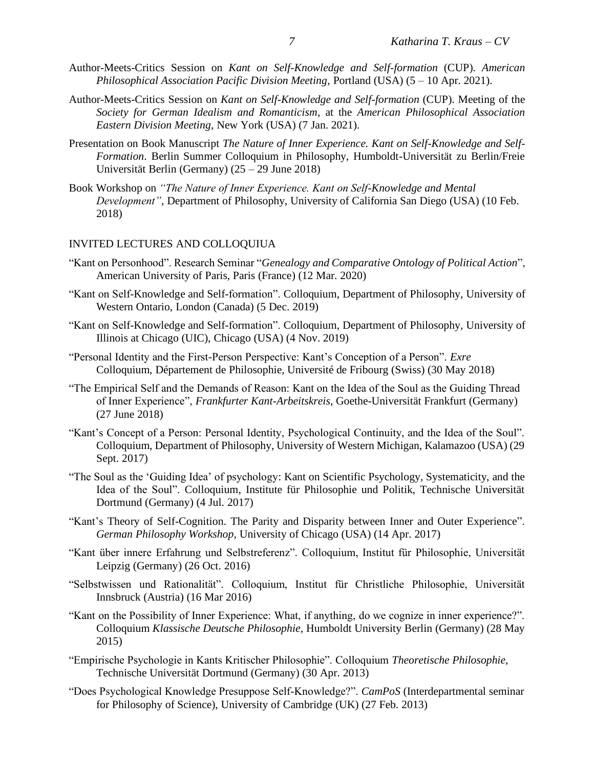- Author-Meets-Critics Session on *Kant on Self-Knowledge and Self-formation* (CUP). *American Philosophical Association Pacific Division Meeting*, Portland (USA) (5 – 10 Apr. 2021).
- Author-Meets-Critics Session on *Kant on Self-Knowledge and Self-formation* (CUP). Meeting of the *Society for German Idealism and Romanticism*, at the *American Philosophical Association Eastern Division Meeting*, New York (USA) (7 Jan. 2021).
- Presentation on Book Manuscript *The Nature of Inner Experience. Kant on Self-Knowledge and Self-Formation*. Berlin Summer Colloquium in Philosophy, Humboldt-Universität zu Berlin/Freie Universität Berlin (Germany) (25 – 29 June 2018)
- Book Workshop on *"The Nature of Inner Experience. Kant on Self-Knowledge and Mental Development"*, Department of Philosophy, University of California San Diego (USA) (10 Feb. 2018)

#### INVITED LECTURES AND COLLOQUIUA

- "Kant on Personhood". Research Seminar "*Genealogy and Comparative Ontology of Political Action*", American University of Paris, Paris (France) (12 Mar. 2020)
- "Kant on Self-Knowledge and Self-formation". Colloquium, Department of Philosophy*,* University of Western Ontario, London (Canada) (5 Dec. 2019)
- "Kant on Self-Knowledge and Self-formation". Colloquium, Department of Philosophy*,* University of Illinois at Chicago (UIC), Chicago (USA) (4 Nov. 2019)
- "Personal Identity and the First-Person Perspective: Kant's Conception of a Person". *Exre*  Colloquium, Département de Philosophie, Université de Fribourg (Swiss) (30 May 2018)
- "The Empirical Self and the Demands of Reason: Kant on the Idea of the Soul as the Guiding Thread of Inner Experience", *Frankfurter Kant-Arbeitskreis*, Goethe-Universität Frankfurt (Germany) (27 June 2018)
- "Kant's Concept of a Person: Personal Identity, Psychological Continuity, and the Idea of the Soul". Colloquium, Department of Philosophy, University of Western Michigan, Kalamazoo (USA) (29 Sept. 2017)
- "The Soul as the 'Guiding Idea' of psychology: Kant on Scientific Psychology, Systematicity, and the Idea of the Soul". Colloquium, Institute für Philosophie und Politik, Technische Universität Dortmund (Germany) (4 Jul. 2017)
- "Kant's Theory of Self-Cognition. The Parity and Disparity between Inner and Outer Experience". *German Philosophy Workshop*, University of Chicago (USA) (14 Apr. 2017)
- "Kant über innere Erfahrung und Selbstreferenz". Colloquium, Institut für Philosophie, Universität Leipzig (Germany) (26 Oct. 2016)
- "Selbstwissen und Rationalität". Colloquium, Institut für Christliche Philosophie, Universität Innsbruck (Austria) (16 Mar 2016)
- "Kant on the Possibility of Inner Experience: What, if anything, do we cognize in inner experience?". Colloquium *Klassische Deutsche Philosophie*, Humboldt University Berlin (Germany) (28 May 2015)
- "Empirische Psychologie in Kants Kritischer Philosophie". Colloquium *Theoretische Philosophie*, Technische Universität Dortmund (Germany) (30 Apr. 2013)
- "Does Psychological Knowledge Presuppose Self-Knowledge?". *CamPoS* (Interdepartmental seminar for Philosophy of Science), University of Cambridge (UK) (27 Feb. 2013)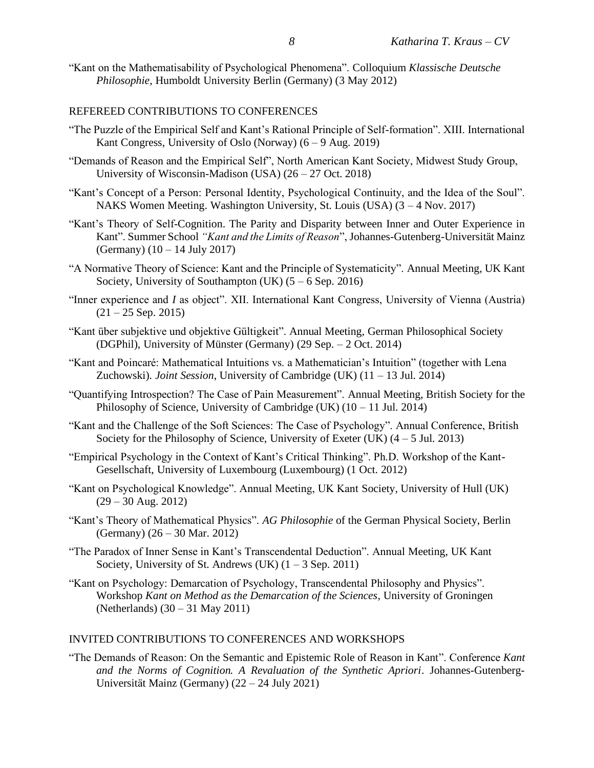"Kant on the Mathematisability of Psychological Phenomena". Colloquium *Klassische Deutsche Philosophie*, Humboldt University Berlin (Germany) (3 May 2012)

### REFEREED CONTRIBUTIONS TO CONFERENCES

- "The Puzzle of the Empirical Self and Kant's Rational Principle of Self-formation". XIII. International Kant Congress, University of Oslo (Norway)  $(6 - 9 \text{ Aug. } 2019)$
- "Demands of Reason and the Empirical Self", North American Kant Society, Midwest Study Group, University of Wisconsin-Madison (USA) (26 – 27 Oct. 2018)
- "Kant's Concept of a Person: Personal Identity, Psychological Continuity, and the Idea of the Soul". NAKS Women Meeting. Washington University, St. Louis (USA) (3 – 4 Nov. 2017)
- "Kant's Theory of Self-Cognition. The Parity and Disparity between Inner and Outer Experience in Kant". Summer School *"Kant and the Limits of Reason*", Johannes-Gutenberg-Universität Mainz (Germany) (10 – 14 July 2017)
- "A Normative Theory of Science: Kant and the Principle of Systematicity". Annual Meeting, UK Kant Society, University of Southampton (UK)  $(5 - 6$  Sep. 2016)
- "Inner experience and *I* as object". XII. International Kant Congress, University of Vienna (Austria)  $(21 - 25$  Sep. 2015)
- "Kant über subjektive und objektive Gültigkeit". Annual Meeting, German Philosophical Society (DGPhil), University of Münster (Germany) (29 Sep. – 2 Oct. 2014)
- "Kant and Poincaré: Mathematical Intuitions vs. a Mathematician's Intuition" (together with Lena Zuchowski). *Joint Session*, University of Cambridge (UK) (11 – 13 Jul. 2014)
- "Quantifying Introspection? The Case of Pain Measurement". Annual Meeting, British Society for the Philosophy of Science, University of Cambridge (UK)  $(10 - 11 \text{ Jul. } 2014)$
- "Kant and the Challenge of the Soft Sciences: The Case of Psychology". Annual Conference, British Society for the Philosophy of Science, University of Exeter (UK)  $(4 - 5 \text{ Jul. } 2013)$
- "Empirical Psychology in the Context of Kant's Critical Thinking". Ph.D. Workshop of the Kant-Gesellschaft, University of Luxembourg (Luxembourg) (1 Oct. 2012)
- "Kant on Psychological Knowledge". Annual Meeting, UK Kant Society, University of Hull (UK)  $(29 - 30$  Aug. 2012)
- "Kant's Theory of Mathematical Physics". *AG Philosophie* of the German Physical Society, Berlin (Germany) (26 – 30 Mar. 2012)
- "The Paradox of Inner Sense in Kant's Transcendental Deduction". Annual Meeting, UK Kant Society, University of St. Andrews (UK)  $(1 - 3 \text{ Sep. } 2011)$
- "Kant on Psychology: Demarcation of Psychology, Transcendental Philosophy and Physics". Workshop *Kant on Method as the Demarcation of the Sciences*, University of Groningen (Netherlands) (30 – 31 May 2011)

#### INVITED CONTRIBUTIONS TO CONFERENCES AND WORKSHOPS

"The Demands of Reason: On the Semantic and Epistemic Role of Reason in Kant". Conference *Kant and the Norms of Cognition. A Revaluation of the Synthetic Apriori*. Johannes-Gutenberg-Universität Mainz (Germany) (22 – 24 July 2021)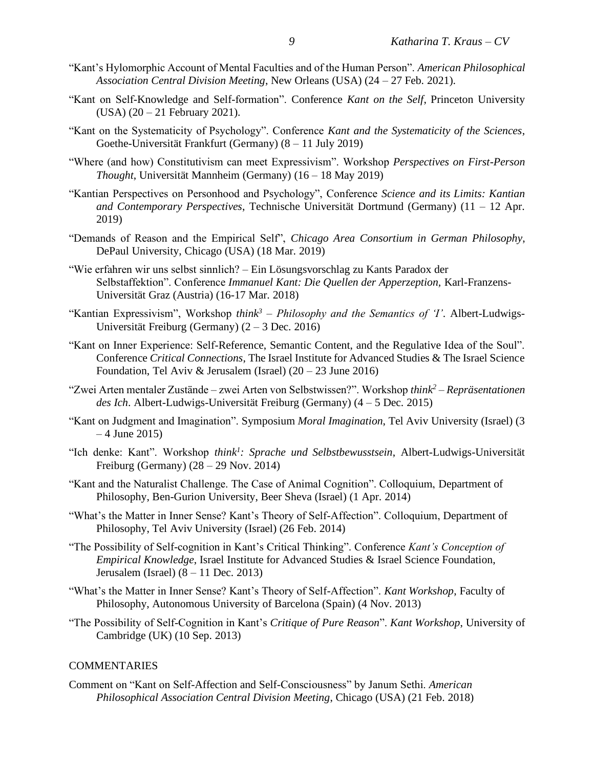- "Kant's Hylomorphic Account of Mental Faculties and of the Human Person". *American Philosophical Association Central Division Meeting*, New Orleans (USA) (24 – 27 Feb. 2021).
- "Kant on Self-Knowledge and Self-formation". Conference *Kant on the Self*, Princeton University (USA) (20 – 21 February 2021).
- "Kant on the Systematicity of Psychology". Conference *Kant and the Systematicity of the Sciences*, Goethe-Universität Frankfurt (Germany) (8 – 11 July 2019)
- "Where (and how) Constitutivism can meet Expressivism". Workshop *Perspectives on First-Person Thought*, Universität Mannheim (Germany) (16 – 18 May 2019)
- "Kantian Perspectives on Personhood and Psychology", Conference *Science and its Limits: Kantian and Contemporary Perspectives*, Technische Universität Dortmund (Germany) (11 – 12 Apr. 2019)
- "Demands of Reason and the Empirical Self", *Chicago Area Consortium in German Philosophy*, DePaul University, Chicago (USA) (18 Mar. 2019)
- "Wie erfahren wir uns selbst sinnlich? Ein Lösungsvorschlag zu Kants Paradox der Selbstaffektion". Conference *Immanuel Kant: Die Quellen der Apperzeption,* Karl-Franzens-Universität Graz (Austria) (16-17 Mar. 2018)
- "Kantian Expressivism", Workshop *think<sup>3</sup> – Philosophy and the Semantics of 'I'*. Albert-Ludwigs-Universität Freiburg (Germany) (2 – 3 Dec. 2016)
- "Kant on Inner Experience: Self-Reference, Semantic Content, and the Regulative Idea of the Soul". Conference *Critical Connections*, The Israel Institute for Advanced Studies & The Israel Science Foundation, Tel Aviv & Jerusalem (Israel)  $(20 - 23$  June 2016)
- "Zwei Arten mentaler Zustände zwei Arten von Selbstwissen?". Workshop *think<sup>2</sup> – Repräsentationen des Ich*. Albert-Ludwigs-Universität Freiburg (Germany) (4 – 5 Dec. 2015)
- "Kant on Judgment and Imagination". Symposium *Moral Imagination*, Tel Aviv University (Israel) (3  $-4$  June 2015)
- "Ich denke: Kant". Workshop *think<sup>1</sup> : Sprache und Selbstbewusstsein*, Albert-Ludwigs-Universität Freiburg (Germany) (28 – 29 Nov. 2014)
- "Kant and the Naturalist Challenge. The Case of Animal Cognition". Colloquium, Department of Philosophy, Ben-Gurion University, Beer Sheva (Israel) (1 Apr. 2014)
- "What's the Matter in Inner Sense? Kant's Theory of Self-Affection". Colloquium, Department of Philosophy, Tel Aviv University (Israel) (26 Feb. 2014)
- "The Possibility of Self-cognition in Kant's Critical Thinking". Conference *Kant's Conception of Empirical Knowledge*, Israel Institute for Advanced Studies & Israel Science Foundation, Jerusalem (Israel) (8 – 11 Dec. 2013)
- "What's the Matter in Inner Sense? Kant's Theory of Self-Affection". *Kant Workshop*, Faculty of Philosophy, Autonomous University of Barcelona (Spain) (4 Nov. 2013)
- "The Possibility of Self-Cognition in Kant's *Critique of Pure Reason*". *Kant Workshop*, University of Cambridge (UK) (10 Sep. 2013)

# COMMENTARIES

Comment on "Kant on Self-Affection and Self-Consciousness" by Janum Sethi. *American Philosophical Association Central Division Meeting*, Chicago (USA) (21 Feb. 2018)